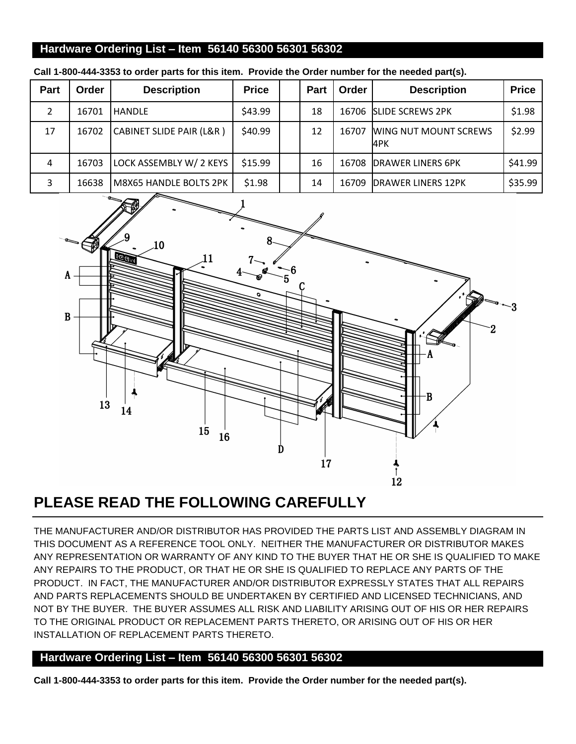## **Hardware Ordering List – Item 56140 56300 56301 56302**

| Part | Order | <b>Description</b>       | <b>Price</b> | <b>Part</b> | Order | <b>Description</b>                  | <b>Price</b> |
|------|-------|--------------------------|--------------|-------------|-------|-------------------------------------|--------------|
| 2    | 16701 | <b>HANDLE</b>            | \$43.99      | 18          | 16706 | <b>SLIDE SCREWS 2PK</b>             | \$1.98       |
| 17   | 16702 | CABINET SLIDE PAIR (L&R) | \$40.99      | 12          | 16707 | <b>WING NUT MOUNT SCREWS</b><br>4PK | \$2.99       |
| 4    | 16703 | LOCK ASSEMBLY W/ 2 KEYS  | \$15.99      | 16          | 16708 | <b>DRAWER LINERS 6PK</b>            | \$41.99      |
| 3    | 16638 | M8X65 HANDLE BOLTS 2PK   | \$1.98       | 14          | 16709 | <b>DRAWER LINERS 12PK</b>           | \$35.99      |

**Call 1-800-444-3353 to order parts for this item. Provide the Order number for the needed part(s).**



## **PLEASE READ THE FOLLOWING CAREFULLY**

THE MANUFACTURER AND/OR DISTRIBUTOR HAS PROVIDED THE PARTS LIST AND ASSEMBLY DIAGRAM IN THIS DOCUMENT AS A REFERENCE TOOL ONLY. NEITHER THE MANUFACTURER OR DISTRIBUTOR MAKES ANY REPRESENTATION OR WARRANTY OF ANY KIND TO THE BUYER THAT HE OR SHE IS QUALIFIED TO MAKE ANY REPAIRS TO THE PRODUCT, OR THAT HE OR SHE IS QUALIFIED TO REPLACE ANY PARTS OF THE PRODUCT. IN FACT, THE MANUFACTURER AND/OR DISTRIBUTOR EXPRESSLY STATES THAT ALL REPAIRS AND PARTS REPLACEMENTS SHOULD BE UNDERTAKEN BY CERTIFIED AND LICENSED TECHNICIANS, AND NOT BY THE BUYER. THE BUYER ASSUMES ALL RISK AND LIABILITY ARISING OUT OF HIS OR HER REPAIRS TO THE ORIGINAL PRODUCT OR REPLACEMENT PARTS THERETO, OR ARISING OUT OF HIS OR HER INSTALLATION OF REPLACEMENT PARTS THERETO.

## **Hardware Ordering List – Item 56140 56300 56301 56302**

**Call 1-800-444-3353 to order parts for this item. Provide the Order number for the needed part(s).**